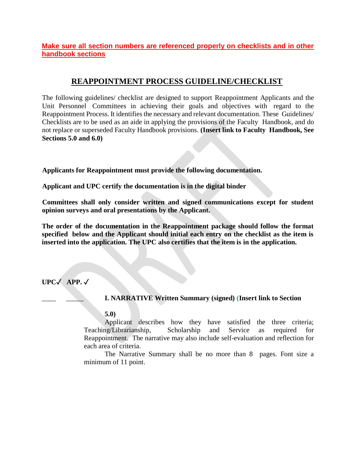**Make sure all section numbers are referenced properly on checklists and in other handbook sections**

# **REAPPOINTMENT PROCESS GUIDELINE/CHECKLIST**

The following guidelines/ checklist are designed to support Reappointment Applicants and the Unit Personnel Committees in achieving their goals and objectives with regard to the Reappointment Process. It identifies the necessary and relevant documentation. These Guidelines/ Checklists are to be used as an aide in applying the provisions of the Faculty Handbook, and do not replace or superseded Faculty Handbook provisions. **(Insert link to Faculty Handbook, See Sections 5.0 and 6.0)**

**Applicants for Reappointment must provide the following documentation.**

**Applicant and UPC certify the documentation is in the digital binder**

**Committees shall only consider written and signed communications except for student opinion surveys and oral presentations by the Applicant.**

**The order of the documentation in the Reappointment package should follow the format specified below and the Applicant should initial each entry on the checklist as the item is inserted into the application. The UPC also certifies that the item is in the application.**

**UPC**✓ **APP.** ✓

## \_\_\_\_ \_\_\_\_\_ **I. NARRATIVE Written Summary (signed) (Insert link to Section**

### **5.0)**

Applicant describes how they have satisfied the three criteria; Teaching/Librarianship, Scholarship and Service as required for Reappointment. The narrative may also include self-evaluation and reflection for each area of criteria.

The Narrative Summary shall be no more than 8 pages. Font size a minimum of 11 point.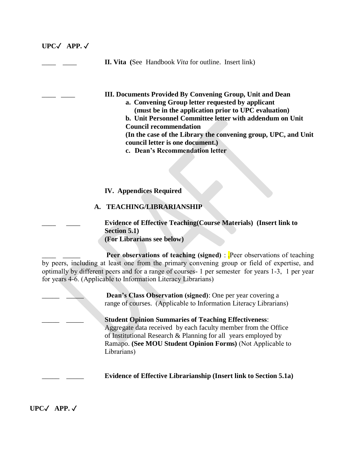**UPC**✓ **APP.** ✓ \_\_\_\_ \_\_\_\_ **II. Vita (**See Handbook *Vita* for outline. Insert link) \_\_\_\_ \_\_\_\_ **III. Documents Provided By Convening Group, Unit and Dean a. Convening Group letter requested by applicant (must be in the application prior to UPC evaluation) b. Unit Personnel Committee letter with addendum on Unit Council recommendation (In the case of the Library the convening group, UPC, and Unit council letter is one document.) c. Dean's Recommendation letter IV. Appendices Required A. TEACHING/LIBRARIANSHIP** \_\_\_\_ \_\_\_\_ **Evidence of Effective Teaching(Course Materials) (Insert link to Section 5.1) (For Librarians see below) Peer observations of teaching (signed)** : .Peer observations of teaching by peers, including at least one from the primary convening group or field of expertise, and optimally by different peers and for a range of courses- 1 per semester for years 1-3, 1 per year for years 4-6. (Applicable to Information Literacy Librarians) **Dean's Class Observation (signed):** One per year covering a range of courses. (Applicable to Information Literacy Librarians) \_\_\_\_\_ \_\_\_\_\_ **Student Opinion Summaries of Teaching Effectiveness**: Aggregate data received by each faculty member from the Office of Institutional Research & Planning for all years employed by Ramapo. **(See MOU Student Opinion Forms)** (Not Applicable to Librarians) \_\_\_\_\_ \_\_\_\_\_ **Evidence of Effective Librarianship (Insert link to Section 5.1a)**

**UPC**✓ **APP.** ✓